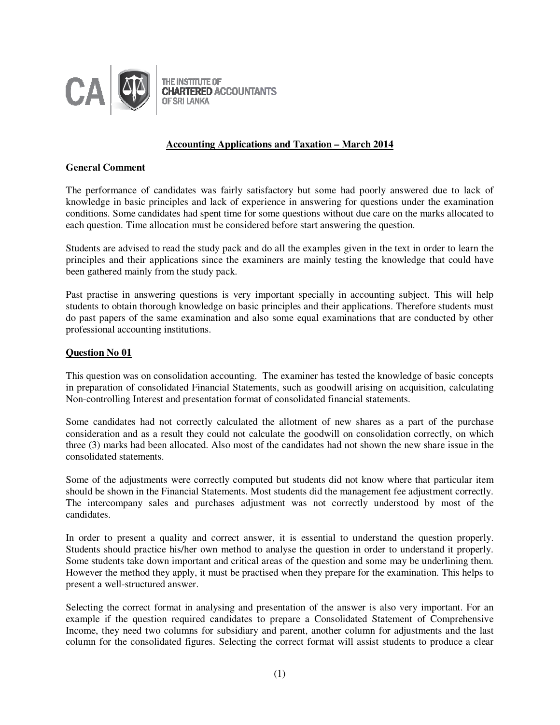

# **Accounting Applications and Taxation – March 2014**

# **General Comment**

The performance of candidates was fairly satisfactory but some had poorly answered due to lack of knowledge in basic principles and lack of experience in answering for questions under the examination conditions. Some candidates had spent time for some questions without due care on the marks allocated to each question. Time allocation must be considered before start answering the question.

Students are advised to read the study pack and do all the examples given in the text in order to learn the principles and their applications since the examiners are mainly testing the knowledge that could have been gathered mainly from the study pack.

Past practise in answering questions is very important specially in accounting subject. This will help students to obtain thorough knowledge on basic principles and their applications. Therefore students must do past papers of the same examination and also some equal examinations that are conducted by other professional accounting institutions.

# **Question No 01**

This question was on consolidation accounting. The examiner has tested the knowledge of basic concepts in preparation of consolidated Financial Statements, such as goodwill arising on acquisition, calculating Non-controlling Interest and presentation format of consolidated financial statements.

Some candidates had not correctly calculated the allotment of new shares as a part of the purchase consideration and as a result they could not calculate the goodwill on consolidation correctly, on which three (3) marks had been allocated. Also most of the candidates had not shown the new share issue in the consolidated statements.

Some of the adjustments were correctly computed but students did not know where that particular item should be shown in the Financial Statements. Most students did the management fee adjustment correctly. The intercompany sales and purchases adjustment was not correctly understood by most of the candidates.

In order to present a quality and correct answer, it is essential to understand the question properly. Students should practice his/her own method to analyse the question in order to understand it properly. Some students take down important and critical areas of the question and some may be underlining them. However the method they apply, it must be practised when they prepare for the examination. This helps to present a well-structured answer.

Selecting the correct format in analysing and presentation of the answer is also very important. For an example if the question required candidates to prepare a Consolidated Statement of Comprehensive Income, they need two columns for subsidiary and parent, another column for adjustments and the last column for the consolidated figures. Selecting the correct format will assist students to produce a clear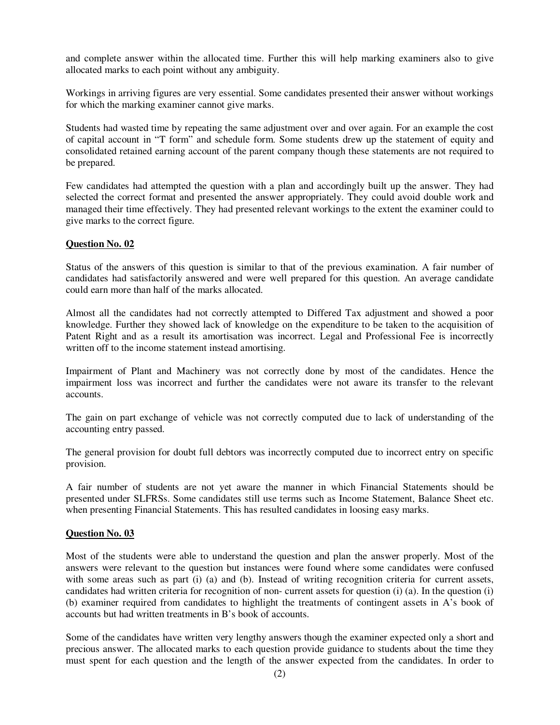and complete answer within the allocated time. Further this will help marking examiners also to give allocated marks to each point without any ambiguity.

Workings in arriving figures are very essential. Some candidates presented their answer without workings for which the marking examiner cannot give marks.

Students had wasted time by repeating the same adjustment over and over again. For an example the cost of capital account in "T form" and schedule form. Some students drew up the statement of equity and consolidated retained earning account of the parent company though these statements are not required to be prepared.

Few candidates had attempted the question with a plan and accordingly built up the answer. They had selected the correct format and presented the answer appropriately. They could avoid double work and managed their time effectively. They had presented relevant workings to the extent the examiner could to give marks to the correct figure.

# **Question No. 02**

Status of the answers of this question is similar to that of the previous examination. A fair number of candidates had satisfactorily answered and were well prepared for this question. An average candidate could earn more than half of the marks allocated.

Almost all the candidates had not correctly attempted to Differed Tax adjustment and showed a poor knowledge. Further they showed lack of knowledge on the expenditure to be taken to the acquisition of Patent Right and as a result its amortisation was incorrect. Legal and Professional Fee is incorrectly written off to the income statement instead amortising.

Impairment of Plant and Machinery was not correctly done by most of the candidates. Hence the impairment loss was incorrect and further the candidates were not aware its transfer to the relevant accounts.

The gain on part exchange of vehicle was not correctly computed due to lack of understanding of the accounting entry passed.

The general provision for doubt full debtors was incorrectly computed due to incorrect entry on specific provision.

A fair number of students are not yet aware the manner in which Financial Statements should be presented under SLFRSs. Some candidates still use terms such as Income Statement, Balance Sheet etc. when presenting Financial Statements. This has resulted candidates in loosing easy marks.

# **Question No. 03**

Most of the students were able to understand the question and plan the answer properly. Most of the answers were relevant to the question but instances were found where some candidates were confused with some areas such as part (i) (a) and (b). Instead of writing recognition criteria for current assets, candidates had written criteria for recognition of non- current assets for question (i) (a). In the question (i) (b) examiner required from candidates to highlight the treatments of contingent assets in A's book of accounts but had written treatments in B's book of accounts.

Some of the candidates have written very lengthy answers though the examiner expected only a short and precious answer. The allocated marks to each question provide guidance to students about the time they must spent for each question and the length of the answer expected from the candidates. In order to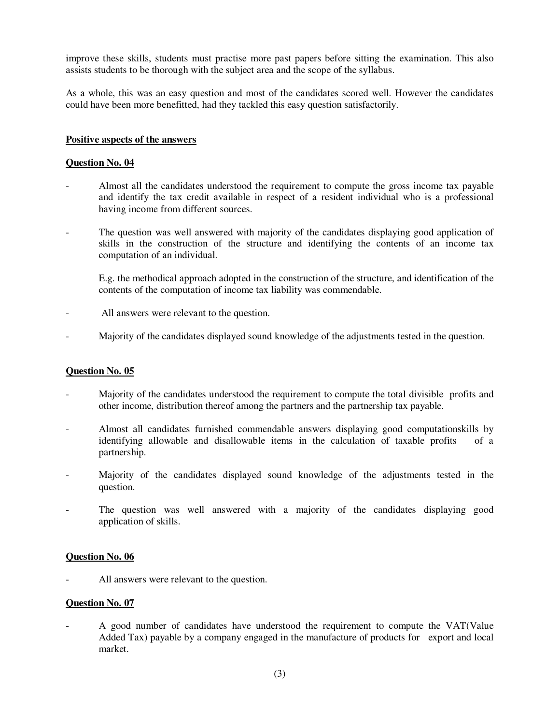improve these skills, students must practise more past papers before sitting the examination. This also assists students to be thorough with the subject area and the scope of the syllabus.

As a whole, this was an easy question and most of the candidates scored well. However the candidates could have been more benefitted, had they tackled this easy question satisfactorily.

# **Positive aspects of the answers**

# **Question No. 04**

- Almost all the candidates understood the requirement to compute the gross income tax payable and identify the tax credit available in respect of a resident individual who is a professional having income from different sources.
- The question was well answered with majority of the candidates displaying good application of skills in the construction of the structure and identifying the contents of an income tax computation of an individual.

E.g. the methodical approach adopted in the construction of the structure, and identification of the contents of the computation of income tax liability was commendable.

- All answers were relevant to the question.
- Majority of the candidates displayed sound knowledge of the adjustments tested in the question.

#### **Question No. 05**

- Majority of the candidates understood the requirement to compute the total divisible profits and other income, distribution thereof among the partners and the partnership tax payable.
- Almost all candidates furnished commendable answers displaying good computationskills by identifying allowable and disallowable items in the calculation of taxable profits of a partnership.
- Majority of the candidates displayed sound knowledge of the adjustments tested in the question.
- The question was well answered with a majority of the candidates displaying good application of skills.

# **Question No. 06**

All answers were relevant to the question.

#### **Question No. 07**

A good number of candidates have understood the requirement to compute the VAT(Value Added Tax) payable by a company engaged in the manufacture of products for export and local market.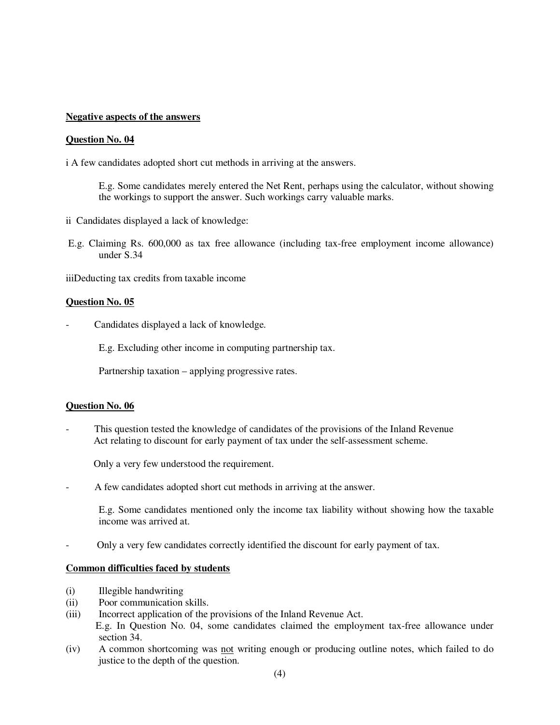#### **Negative aspects of the answers**

#### **Question No. 04**

i A few candidates adopted short cut methods in arriving at the answers.

E.g. Some candidates merely entered the Net Rent, perhaps using the calculator, without showing the workings to support the answer. Such workings carry valuable marks.

- ii Candidates displayed a lack of knowledge:
- E.g. Claiming Rs. 600,000 as tax free allowance (including tax-free employment income allowance) under S.34

iiiDeducting tax credits from taxable income

# **Question No. 05**

Candidates displayed a lack of knowledge.

E.g. Excluding other income in computing partnership tax.

Partnership taxation – applying progressive rates.

#### **Question No. 06**

- This question tested the knowledge of candidates of the provisions of the Inland Revenue Act relating to discount for early payment of tax under the self-assessment scheme.

Only a very few understood the requirement.

A few candidates adopted short cut methods in arriving at the answer.

E.g. Some candidates mentioned only the income tax liability without showing how the taxable income was arrived at.

- Only a very few candidates correctly identified the discount for early payment of tax.

#### **Common difficulties faced by students**

- (i) Illegible handwriting
- (ii) Poor communication skills.
- (iii) Incorrect application of the provisions of the Inland Revenue Act. E.g. In Question No. 04, some candidates claimed the employment tax-free allowance under section 34.
- (iv) A common shortcoming was not writing enough or producing outline notes, which failed to do justice to the depth of the question.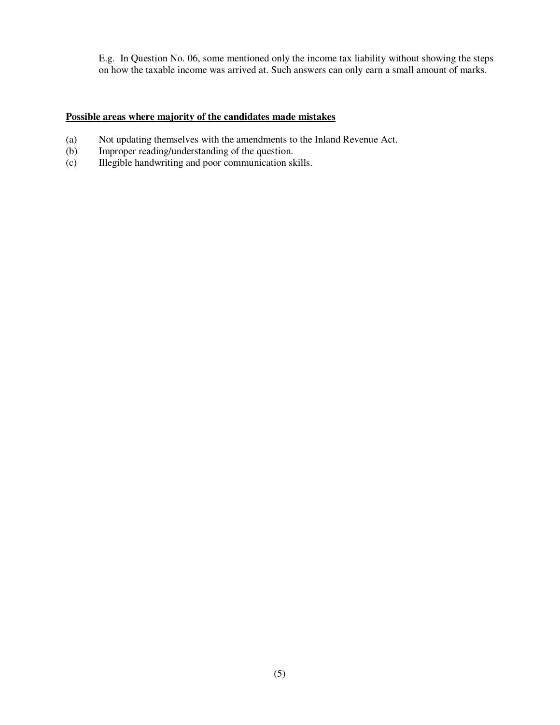E.g. In Question No. 06, some mentioned only the income tax liability without showing the steps on how the taxable income was arrived at. Such answers can only earn a small amount of marks.

# **Possible areas where majority of the candidates made mistakes**

- (a) Not updating themselves with the amendments to the Inland Revenue Act.<br>
(b) Improper reading/understanding of the question.
- Improper reading/understanding of the question.
- (c) Illegible handwriting and poor communication skills.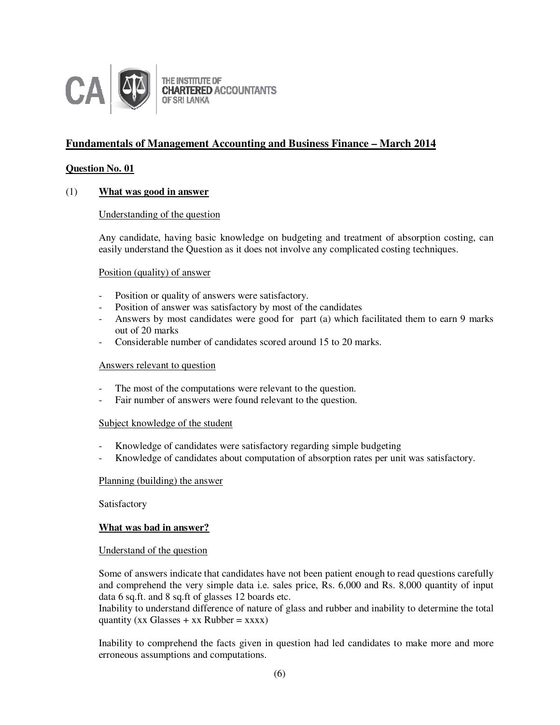

# **Fundamentals of Management Accounting and Business Finance – March 2014**

# **Question No. 01**

# (1) **What was good in answer**

# Understanding of the question

Any candidate, having basic knowledge on budgeting and treatment of absorption costing, can easily understand the Question as it does not involve any complicated costing techniques.

#### Position (quality) of answer

- Position or quality of answers were satisfactory.
- Position of answer was satisfactory by most of the candidates
- Answers by most candidates were good for part (a) which facilitated them to earn 9 marks out of 20 marks
- Considerable number of candidates scored around 15 to 20 marks.

#### Answers relevant to question

- The most of the computations were relevant to the question.
- Fair number of answers were found relevant to the question.

#### Subject knowledge of the student

- Knowledge of candidates were satisfactory regarding simple budgeting
- Knowledge of candidates about computation of absorption rates per unit was satisfactory.

#### Planning (building) the answer

Satisfactory

#### **What was bad in answer?**

#### Understand of the question

Some of answers indicate that candidates have not been patient enough to read questions carefully and comprehend the very simple data i.e. sales price, Rs. 6,000 and Rs. 8,000 quantity of input data 6 sq.ft. and 8 sq.ft of glasses 12 boards etc.

Inability to understand difference of nature of glass and rubber and inability to determine the total quantity (xx Glasses  $+$  xx Rubber = xxxx)

Inability to comprehend the facts given in question had led candidates to make more and more erroneous assumptions and computations.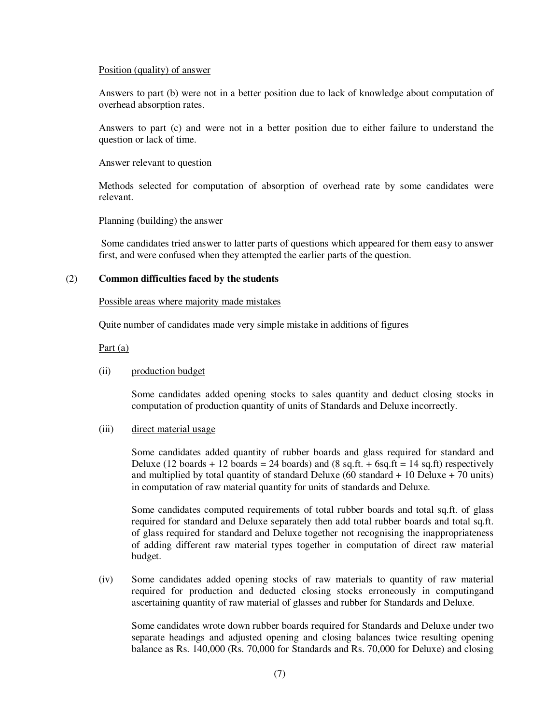#### Position (quality) of answer

Answers to part (b) were not in a better position due to lack of knowledge about computation of overhead absorption rates.

Answers to part (c) and were not in a better position due to either failure to understand the question or lack of time.

#### Answer relevant to question

Methods selected for computation of absorption of overhead rate by some candidates were relevant.

#### Planning (building) the answer

 Some candidates tried answer to latter parts of questions which appeared for them easy to answer first, and were confused when they attempted the earlier parts of the question.

# (2) **Common difficulties faced by the students**

#### Possible areas where majority made mistakes

Quite number of candidates made very simple mistake in additions of figures

# Part (a)

#### (ii) production budget

Some candidates added opening stocks to sales quantity and deduct closing stocks in computation of production quantity of units of Standards and Deluxe incorrectly.

#### (iii) direct material usage

Some candidates added quantity of rubber boards and glass required for standard and Deluxe (12 boards + 12 boards = 24 boards) and (8 sq.ft. + 6sq.ft = 14 sq.ft) respectively and multiplied by total quantity of standard Deluxe  $(60 \text{ standard} + 10 \text{ Delaware}) + 70 \text{ units})$ in computation of raw material quantity for units of standards and Deluxe.

Some candidates computed requirements of total rubber boards and total sq.ft. of glass required for standard and Deluxe separately then add total rubber boards and total sq.ft. of glass required for standard and Deluxe together not recognising the inappropriateness of adding different raw material types together in computation of direct raw material budget.

(iv) Some candidates added opening stocks of raw materials to quantity of raw material required for production and deducted closing stocks erroneously in computingand ascertaining quantity of raw material of glasses and rubber for Standards and Deluxe.

 Some candidates wrote down rubber boards required for Standards and Deluxe under two separate headings and adjusted opening and closing balances twice resulting opening balance as Rs. 140,000 (Rs. 70,000 for Standards and Rs. 70,000 for Deluxe) and closing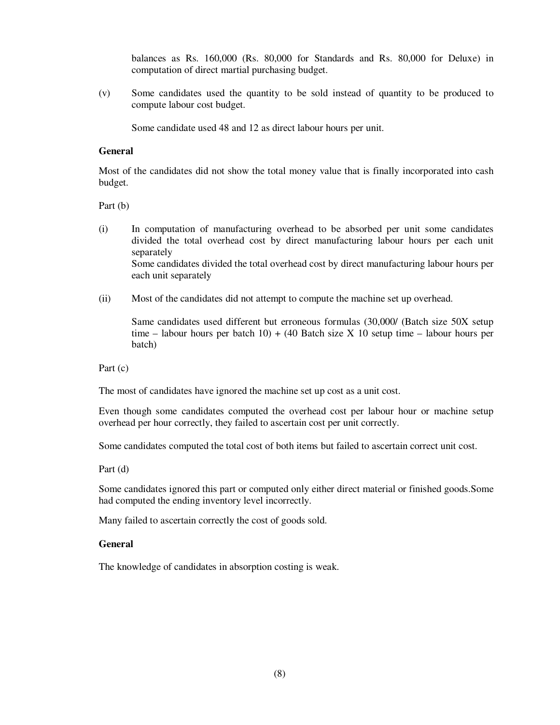balances as Rs. 160,000 (Rs. 80,000 for Standards and Rs. 80,000 for Deluxe) in computation of direct martial purchasing budget.

(v) Some candidates used the quantity to be sold instead of quantity to be produced to compute labour cost budget.

Some candidate used 48 and 12 as direct labour hours per unit.

# **General**

Most of the candidates did not show the total money value that is finally incorporated into cash budget.

Part (b)

- (i) In computation of manufacturing overhead to be absorbed per unit some candidates divided the total overhead cost by direct manufacturing labour hours per each unit separately Some candidates divided the total overhead cost by direct manufacturing labour hours per each unit separately
- (ii) Most of the candidates did not attempt to compute the machine set up overhead.

Same candidates used different but erroneous formulas (30,000/ (Batch size 50X setup time – labour hours per batch  $10$ ) + (40 Batch size X 10 setup time – labour hours per batch)

Part (c)

The most of candidates have ignored the machine set up cost as a unit cost.

Even though some candidates computed the overhead cost per labour hour or machine setup overhead per hour correctly, they failed to ascertain cost per unit correctly.

Some candidates computed the total cost of both items but failed to ascertain correct unit cost.

Part (d)

Some candidates ignored this part or computed only either direct material or finished goods.Some had computed the ending inventory level incorrectly.

Many failed to ascertain correctly the cost of goods sold.

#### **General**

The knowledge of candidates in absorption costing is weak.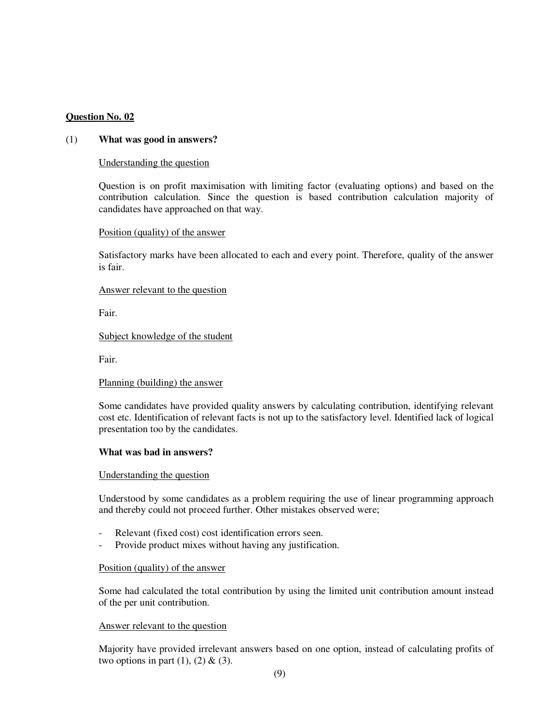# **Question No. 02**

#### (1) **What was good in answers?**

#### Understanding the question

Question is on profit maximisation with limiting factor (evaluating options) and based on the contribution calculation. Since the question is based contribution calculation majority of candidates have approached on that way.

#### Position (quality) of the answer

Satisfactory marks have been allocated to each and every point. Therefore, quality of the answer is fair.

#### Answer relevant to the question

Fair.

# Subject knowledge of the student

Fair.

# Planning (building) the answer

Some candidates have provided quality answers by calculating contribution, identifying relevant cost etc. Identification of relevant facts is not up to the satisfactory level. Identified lack of logical presentation too by the candidates.

#### **What was bad in answers?**

#### Understanding the question

Understood by some candidates as a problem requiring the use of linear programming approach and thereby could not proceed further. Other mistakes observed were;

- Relevant (fixed cost) cost identification errors seen.
- Provide product mixes without having any justification.

#### Position (quality) of the answer

Some had calculated the total contribution by using the limited unit contribution amount instead of the per unit contribution.

#### Answer relevant to the question

Majority have provided irrelevant answers based on one option, instead of calculating profits of two options in part  $(1)$ ,  $(2)$  &  $(3)$ .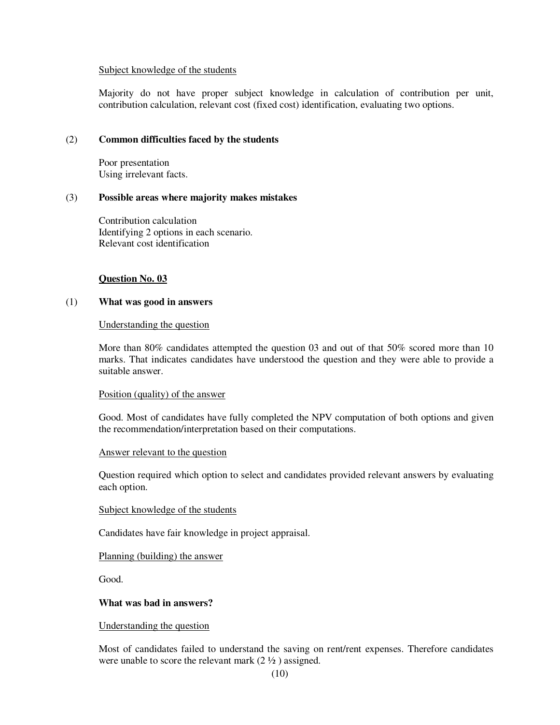#### Subject knowledge of the students

Majority do not have proper subject knowledge in calculation of contribution per unit, contribution calculation, relevant cost (fixed cost) identification, evaluating two options.

# (2) **Common difficulties faced by the students**

Poor presentation Using irrelevant facts.

# (3) **Possible areas where majority makes mistakes**

Contribution calculation Identifying 2 options in each scenario. Relevant cost identification

# **Question No. 03**

# (1) **What was good in answers**

#### Understanding the question

More than 80% candidates attempted the question 03 and out of that 50% scored more than 10 marks. That indicates candidates have understood the question and they were able to provide a suitable answer.

#### Position (quality) of the answer

Good. Most of candidates have fully completed the NPV computation of both options and given the recommendation/interpretation based on their computations.

#### Answer relevant to the question

Question required which option to select and candidates provided relevant answers by evaluating each option.

#### Subject knowledge of the students

Candidates have fair knowledge in project appraisal.

#### Planning (building) the answer

Good.

# **What was bad in answers?**

Understanding the question

Most of candidates failed to understand the saving on rent/rent expenses. Therefore candidates were unable to score the relevant mark  $(2 \frac{1}{2})$  assigned.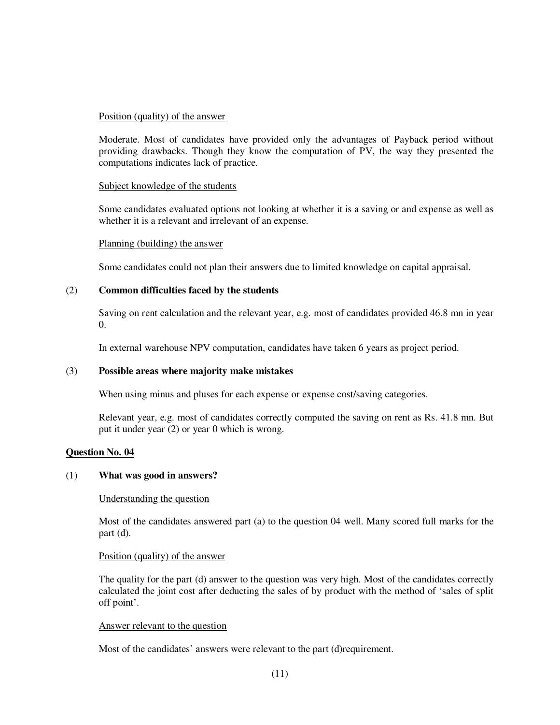# Position (quality) of the answer

Moderate. Most of candidates have provided only the advantages of Payback period without providing drawbacks. Though they know the computation of PV, the way they presented the computations indicates lack of practice.

# Subject knowledge of the students

Some candidates evaluated options not looking at whether it is a saving or and expense as well as whether it is a relevant and irrelevant of an expense.

# Planning (building) the answer

Some candidates could not plan their answers due to limited knowledge on capital appraisal.

# (2) **Common difficulties faced by the students**

Saving on rent calculation and the relevant year, e.g. most of candidates provided 46.8 mn in year  $\Omega$ .

In external warehouse NPV computation, candidates have taken 6 years as project period.

# (3) **Possible areas where majority make mistakes**

When using minus and pluses for each expense or expense cost/saving categories.

Relevant year, e.g. most of candidates correctly computed the saving on rent as Rs. 41.8 mn. But put it under year (2) or year 0 which is wrong.

# **Question No. 04**

#### (1) **What was good in answers?**

#### Understanding the question

Most of the candidates answered part (a) to the question 04 well. Many scored full marks for the part (d).

#### Position (quality) of the answer

The quality for the part (d) answer to the question was very high. Most of the candidates correctly calculated the joint cost after deducting the sales of by product with the method of 'sales of split off point'.

#### Answer relevant to the question

Most of the candidates' answers were relevant to the part (d)requirement.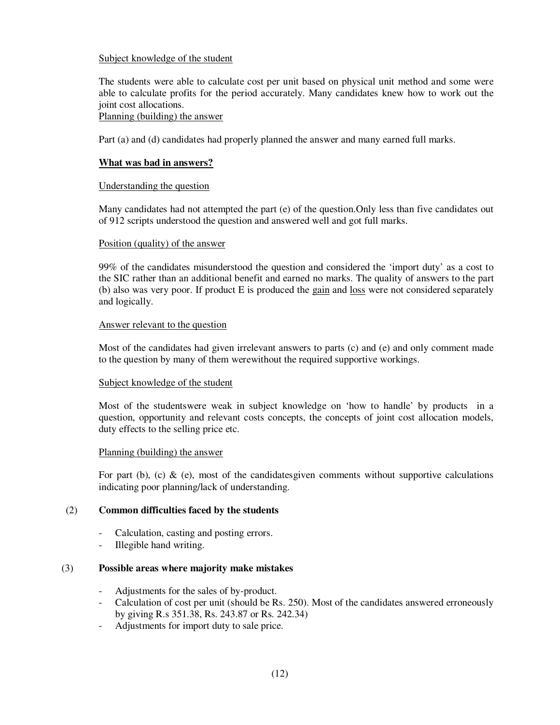# Subject knowledge of the student

The students were able to calculate cost per unit based on physical unit method and some were able to calculate profits for the period accurately. Many candidates knew how to work out the joint cost allocations.

# Planning (building) the answer

Part (a) and (d) candidates had properly planned the answer and many earned full marks.

# **What was bad in answers?**

# Understanding the question

Many candidates had not attempted the part (e) of the question.Only less than five candidates out of 912 scripts understood the question and answered well and got full marks.

# Position (quality) of the answer

99% of the candidates misunderstood the question and considered the 'import duty' as a cost to the SIC rather than an additional benefit and earned no marks. The quality of answers to the part (b) also was very poor. If product E is produced the gain and loss were not considered separately and logically.

# Answer relevant to the question

Most of the candidates had given irrelevant answers to parts (c) and (e) and only comment made to the question by many of them werewithout the required supportive workings.

# Subject knowledge of the student

Most of the studentswere weak in subject knowledge on 'how to handle' by products in a question, opportunity and relevant costs concepts, the concepts of joint cost allocation models, duty effects to the selling price etc.

#### Planning (building) the answer

For part (b), (c)  $\&$  (e), most of the candidatesgiven comments without supportive calculations indicating poor planning/lack of understanding.

# (2) **Common difficulties faced by the students**

- Calculation, casting and posting errors.
- Illegible hand writing.

# (3) **Possible areas where majority make mistakes**

- Adjustments for the sales of by-product.
- Calculation of cost per unit (should be Rs. 250). Most of the candidates answered erroneously by giving R.s 351.38, Rs. 243.87 or Rs. 242.34)
- Adjustments for import duty to sale price.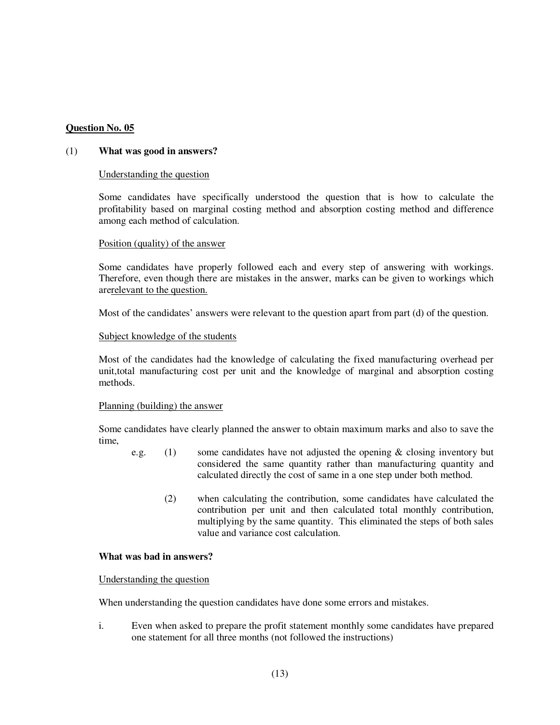# **Question No. 05**

#### (1) **What was good in answers?**

#### Understanding the question

Some candidates have specifically understood the question that is how to calculate the profitability based on marginal costing method and absorption costing method and difference among each method of calculation.

#### Position (quality) of the answer

Some candidates have properly followed each and every step of answering with workings. Therefore, even though there are mistakes in the answer, marks can be given to workings which arerelevant to the question.

Most of the candidates' answers were relevant to the question apart from part (d) of the question.

#### Subject knowledge of the students

Most of the candidates had the knowledge of calculating the fixed manufacturing overhead per unit,total manufacturing cost per unit and the knowledge of marginal and absorption costing methods.

#### Planning (building) the answer

Some candidates have clearly planned the answer to obtain maximum marks and also to save the time,

- e.g. (1) some candidates have not adjusted the opening & closing inventory but considered the same quantity rather than manufacturing quantity and calculated directly the cost of same in a one step under both method.
	- (2) when calculating the contribution, some candidates have calculated the contribution per unit and then calculated total monthly contribution, multiplying by the same quantity. This eliminated the steps of both sales value and variance cost calculation.

#### **What was bad in answers?**

#### Understanding the question

When understanding the question candidates have done some errors and mistakes.

i. Even when asked to prepare the profit statement monthly some candidates have prepared one statement for all three months (not followed the instructions)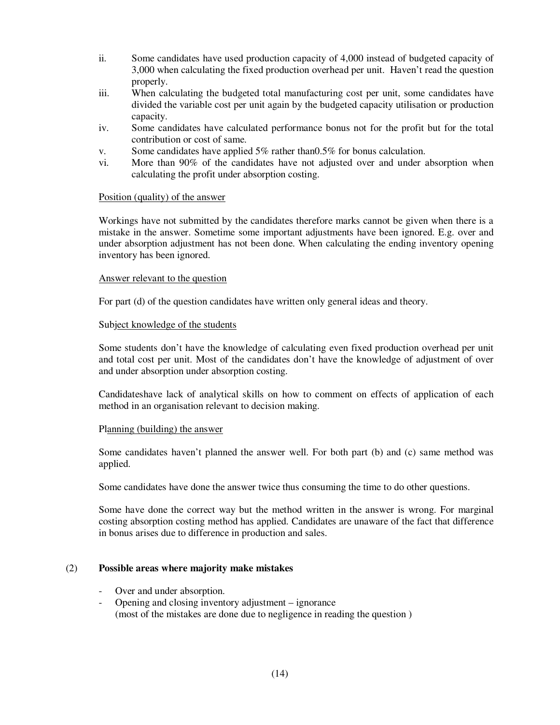- ii. Some candidates have used production capacity of 4,000 instead of budgeted capacity of 3,000 when calculating the fixed production overhead per unit. Haven't read the question properly.
- iii. When calculating the budgeted total manufacturing cost per unit, some candidates have divided the variable cost per unit again by the budgeted capacity utilisation or production capacity.
- iv. Some candidates have calculated performance bonus not for the profit but for the total contribution or cost of same.
- v. Some candidates have applied 5% rather than0.5% for bonus calculation.
- vi. More than 90% of the candidates have not adjusted over and under absorption when calculating the profit under absorption costing.

# Position (quality) of the answer

Workings have not submitted by the candidates therefore marks cannot be given when there is a mistake in the answer. Sometime some important adjustments have been ignored. E.g. over and under absorption adjustment has not been done. When calculating the ending inventory opening inventory has been ignored.

# Answer relevant to the question

For part (d) of the question candidates have written only general ideas and theory.

# Subject knowledge of the students

Some students don't have the knowledge of calculating even fixed production overhead per unit and total cost per unit. Most of the candidates don't have the knowledge of adjustment of over and under absorption under absorption costing.

Candidateshave lack of analytical skills on how to comment on effects of application of each method in an organisation relevant to decision making.

#### Planning (building) the answer

Some candidates haven't planned the answer well. For both part (b) and (c) same method was applied.

Some candidates have done the answer twice thus consuming the time to do other questions.

Some have done the correct way but the method written in the answer is wrong. For marginal costing absorption costing method has applied. Candidates are unaware of the fact that difference in bonus arises due to difference in production and sales.

# (2) **Possible areas where majority make mistakes**

- Over and under absorption.
- Opening and closing inventory adjustment ignorance (most of the mistakes are done due to negligence in reading the question )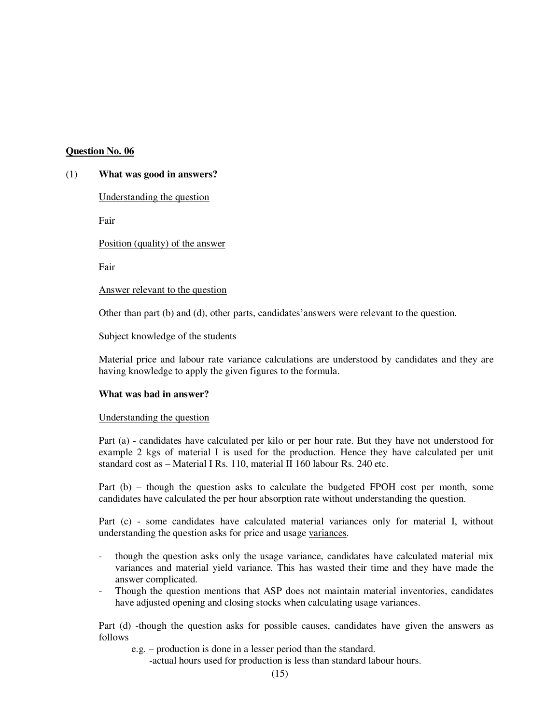# **Question No. 06**

#### (1) **What was good in answers?**

Understanding the question

Fair

Position (quality) of the answer

Fair

Answer relevant to the question

Other than part (b) and (d), other parts, candidates'answers were relevant to the question.

#### Subject knowledge of the students

Material price and labour rate variance calculations are understood by candidates and they are having knowledge to apply the given figures to the formula.

#### **What was bad in answer?**

#### Understanding the question

Part (a) - candidates have calculated per kilo or per hour rate. But they have not understood for example 2 kgs of material I is used for the production. Hence they have calculated per unit standard cost as – Material I Rs. 110, material II 160 labour Rs. 240 etc.

Part (b) – though the question asks to calculate the budgeted FPOH cost per month, some candidates have calculated the per hour absorption rate without understanding the question.

Part (c) - some candidates have calculated material variances only for material I, without understanding the question asks for price and usage variances.

- though the question asks only the usage variance, candidates have calculated material mix variances and material yield variance. This has wasted their time and they have made the answer complicated.
- Though the question mentions that ASP does not maintain material inventories, candidates have adjusted opening and closing stocks when calculating usage variances.

Part (d) -though the question asks for possible causes, candidates have given the answers as follows

e.g. – production is done in a lesser period than the standard.

-actual hours used for production is less than standard labour hours.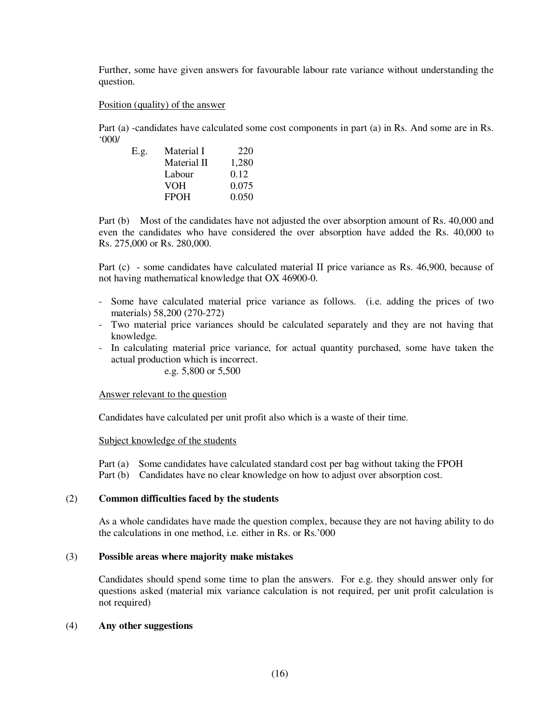Further, some have given answers for favourable labour rate variance without understanding the question.

Position (quality) of the answer

Part (a) -candidates have calculated some cost components in part (a) in Rs. And some are in Rs. '000/

| E.g. | Material I  | 220   |
|------|-------------|-------|
|      | Material II | 1.280 |
|      | Labour      | 0.12  |
|      | VOH         | 0.075 |
|      | <b>FPOH</b> | 0.050 |

Part (b) Most of the candidates have not adjusted the over absorption amount of Rs. 40,000 and even the candidates who have considered the over absorption have added the Rs. 40,000 to Rs. 275,000 or Rs. 280,000.

Part (c) - some candidates have calculated material II price variance as Rs. 46,900, because of not having mathematical knowledge that OX 46900-0.

- Some have calculated material price variance as follows. (i.e. adding the prices of two materials) 58,200 (270-272)
- Two material price variances should be calculated separately and they are not having that knowledge.
- In calculating material price variance, for actual quantity purchased, some have taken the actual production which is incorrect.

# e.g. 5,800 or 5,500

#### Answer relevant to the question

Candidates have calculated per unit profit also which is a waste of their time.

Subject knowledge of the students

Part (a) Some candidates have calculated standard cost per bag without taking the FPOH

Part (b) Candidates have no clear knowledge on how to adjust over absorption cost.

# (2) **Common difficulties faced by the students**

As a whole candidates have made the question complex, because they are not having ability to do the calculations in one method, i.e. either in Rs. or Rs.'000

# (3) **Possible areas where majority make mistakes**

Candidates should spend some time to plan the answers. For e.g. they should answer only for questions asked (material mix variance calculation is not required, per unit profit calculation is not required)

#### (4) **Any other suggestions**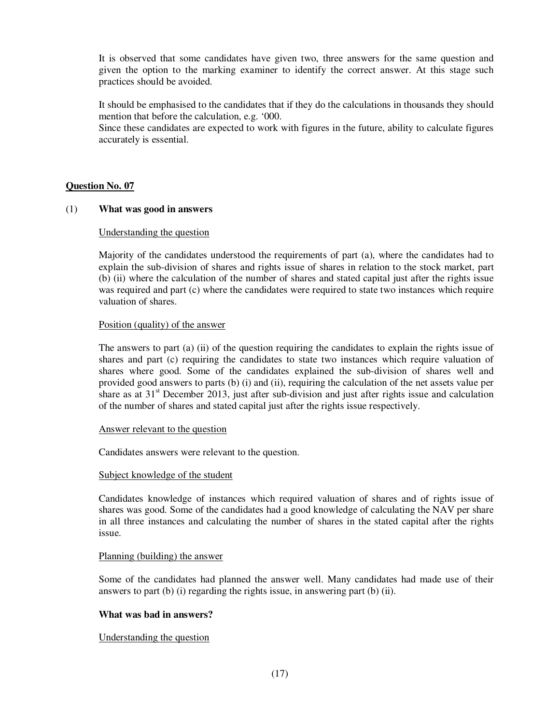It is observed that some candidates have given two, three answers for the same question and given the option to the marking examiner to identify the correct answer. At this stage such practices should be avoided.

It should be emphasised to the candidates that if they do the calculations in thousands they should mention that before the calculation, e.g. '000.

Since these candidates are expected to work with figures in the future, ability to calculate figures accurately is essential.

# **Question No. 07**

# (1) **What was good in answers**

# Understanding the question

Majority of the candidates understood the requirements of part (a), where the candidates had to explain the sub-division of shares and rights issue of shares in relation to the stock market, part (b) (ii) where the calculation of the number of shares and stated capital just after the rights issue was required and part (c) where the candidates were required to state two instances which require valuation of shares.

# Position (quality) of the answer

The answers to part (a) (ii) of the question requiring the candidates to explain the rights issue of shares and part (c) requiring the candidates to state two instances which require valuation of shares where good. Some of the candidates explained the sub-division of shares well and provided good answers to parts (b) (i) and (ii), requiring the calculation of the net assets value per share as at  $31<sup>st</sup>$  December 2013, just after sub-division and just after rights issue and calculation of the number of shares and stated capital just after the rights issue respectively.

#### Answer relevant to the question

Candidates answers were relevant to the question.

#### Subject knowledge of the student

Candidates knowledge of instances which required valuation of shares and of rights issue of shares was good. Some of the candidates had a good knowledge of calculating the NAV per share in all three instances and calculating the number of shares in the stated capital after the rights issue.

#### Planning (building) the answer

Some of the candidates had planned the answer well. Many candidates had made use of their answers to part (b) (i) regarding the rights issue, in answering part (b) (ii).

# **What was bad in answers?**

# Understanding the question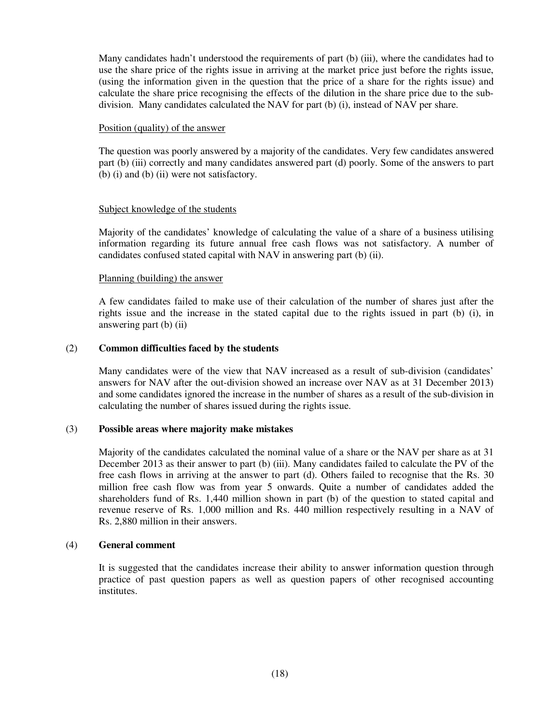Many candidates hadn't understood the requirements of part (b) (iii), where the candidates had to use the share price of the rights issue in arriving at the market price just before the rights issue, (using the information given in the question that the price of a share for the rights issue) and calculate the share price recognising the effects of the dilution in the share price due to the subdivision. Many candidates calculated the NAV for part (b) (i), instead of NAV per share.

# Position (quality) of the answer

The question was poorly answered by a majority of the candidates. Very few candidates answered part (b) (iii) correctly and many candidates answered part (d) poorly. Some of the answers to part (b) (i) and (b) (ii) were not satisfactory.

# Subject knowledge of the students

Majority of the candidates' knowledge of calculating the value of a share of a business utilising information regarding its future annual free cash flows was not satisfactory. A number of candidates confused stated capital with NAV in answering part (b) (ii).

# Planning (building) the answer

A few candidates failed to make use of their calculation of the number of shares just after the rights issue and the increase in the stated capital due to the rights issued in part (b) (i), in answering part (b) (ii)

# (2) **Common difficulties faced by the students**

Many candidates were of the view that NAV increased as a result of sub-division (candidates' answers for NAV after the out-division showed an increase over NAV as at 31 December 2013) and some candidates ignored the increase in the number of shares as a result of the sub-division in calculating the number of shares issued during the rights issue.

#### (3) **Possible areas where majority make mistakes**

Majority of the candidates calculated the nominal value of a share or the NAV per share as at 31 December 2013 as their answer to part (b) (iii). Many candidates failed to calculate the PV of the free cash flows in arriving at the answer to part (d). Others failed to recognise that the Rs. 30 million free cash flow was from year 5 onwards. Quite a number of candidates added the shareholders fund of Rs. 1,440 million shown in part (b) of the question to stated capital and revenue reserve of Rs. 1,000 million and Rs. 440 million respectively resulting in a NAV of Rs. 2,880 million in their answers.

#### (4) **General comment**

It is suggested that the candidates increase their ability to answer information question through practice of past question papers as well as question papers of other recognised accounting institutes.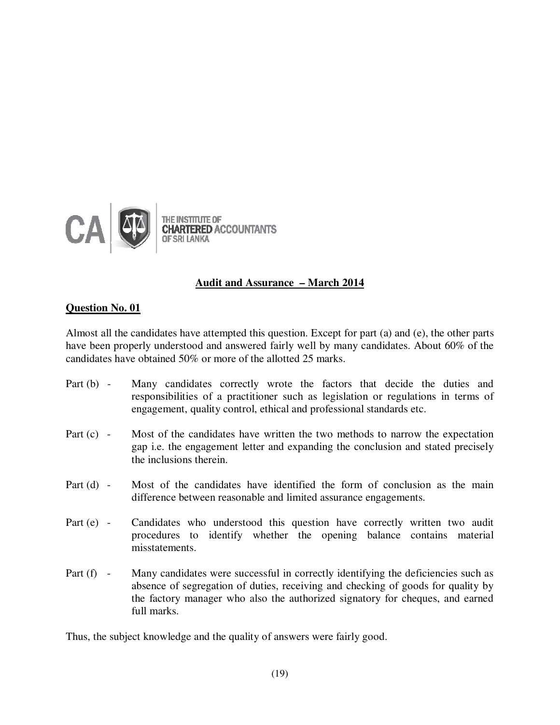

# **Audit and Assurance – March 2014**

# **Question No. 01**

Almost all the candidates have attempted this question. Except for part (a) and (e), the other parts have been properly understood and answered fairly well by many candidates. About 60% of the candidates have obtained 50% or more of the allotted 25 marks.

- Part (b) Many candidates correctly wrote the factors that decide the duties and responsibilities of a practitioner such as legislation or regulations in terms of engagement, quality control, ethical and professional standards etc.
- Part (c) Most of the candidates have written the two methods to narrow the expectation gap i.e. the engagement letter and expanding the conclusion and stated precisely the inclusions therein.
- Part (d) Most of the candidates have identified the form of conclusion as the main difference between reasonable and limited assurance engagements.
- Part (e) Candidates who understood this question have correctly written two audit procedures to identify whether the opening balance contains material misstatements.
- Part (f) Many candidates were successful in correctly identifying the deficiencies such as absence of segregation of duties, receiving and checking of goods for quality by the factory manager who also the authorized signatory for cheques, and earned full marks.

Thus, the subject knowledge and the quality of answers were fairly good.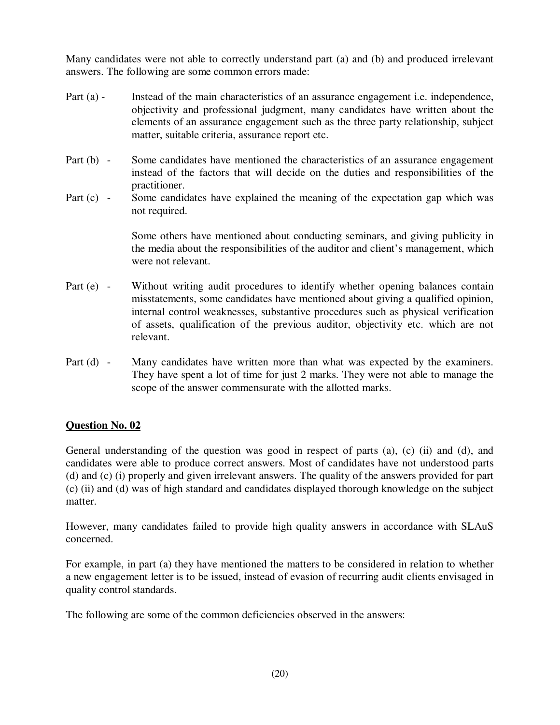Many candidates were not able to correctly understand part (a) and (b) and produced irrelevant answers. The following are some common errors made:

- Part (a) Instead of the main characteristics of an assurance engagement i.e. independence, objectivity and professional judgment, many candidates have written about the elements of an assurance engagement such as the three party relationship, subject matter, suitable criteria, assurance report etc.
- Part (b) Some candidates have mentioned the characteristics of an assurance engagement instead of the factors that will decide on the duties and responsibilities of the practitioner.
- Part (c) Some candidates have explained the meaning of the expectation gap which was not required.

 Some others have mentioned about conducting seminars, and giving publicity in the media about the responsibilities of the auditor and client's management, which were not relevant.

- Part (e) Without writing audit procedures to identify whether opening balances contain misstatements, some candidates have mentioned about giving a qualified opinion, internal control weaknesses, substantive procedures such as physical verification of assets, qualification of the previous auditor, objectivity etc. which are not relevant.
- Part (d) Many candidates have written more than what was expected by the examiners. They have spent a lot of time for just 2 marks. They were not able to manage the scope of the answer commensurate with the allotted marks.

# **Question No. 02**

General understanding of the question was good in respect of parts (a), (c) (ii) and (d), and candidates were able to produce correct answers. Most of candidates have not understood parts (d) and (c) (i) properly and given irrelevant answers. The quality of the answers provided for part (c) (ii) and (d) was of high standard and candidates displayed thorough knowledge on the subject matter.

However, many candidates failed to provide high quality answers in accordance with SLAuS concerned.

For example, in part (a) they have mentioned the matters to be considered in relation to whether a new engagement letter is to be issued, instead of evasion of recurring audit clients envisaged in quality control standards.

The following are some of the common deficiencies observed in the answers: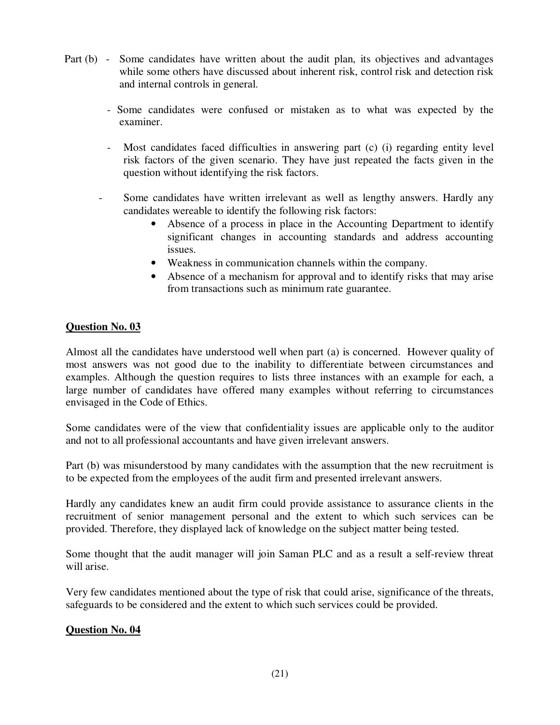- Part (b) Some candidates have written about the audit plan, its objectives and advantages while some others have discussed about inherent risk, control risk and detection risk and internal controls in general.
	- Some candidates were confused or mistaken as to what was expected by the examiner.
	- Most candidates faced difficulties in answering part (c) (i) regarding entity level risk factors of the given scenario. They have just repeated the facts given in the question without identifying the risk factors.
	- Some candidates have written irrelevant as well as lengthy answers. Hardly any candidates wereable to identify the following risk factors:
		- Absence of a process in place in the Accounting Department to identify significant changes in accounting standards and address accounting issues.
		- Weakness in communication channels within the company.
		- Absence of a mechanism for approval and to identify risks that may arise from transactions such as minimum rate guarantee.

# **Question No. 03**

Almost all the candidates have understood well when part (a) is concerned. However quality of most answers was not good due to the inability to differentiate between circumstances and examples. Although the question requires to lists three instances with an example for each, a large number of candidates have offered many examples without referring to circumstances envisaged in the Code of Ethics.

Some candidates were of the view that confidentiality issues are applicable only to the auditor and not to all professional accountants and have given irrelevant answers.

Part (b) was misunderstood by many candidates with the assumption that the new recruitment is to be expected from the employees of the audit firm and presented irrelevant answers.

Hardly any candidates knew an audit firm could provide assistance to assurance clients in the recruitment of senior management personal and the extent to which such services can be provided. Therefore, they displayed lack of knowledge on the subject matter being tested.

Some thought that the audit manager will join Saman PLC and as a result a self-review threat will arise.

Very few candidates mentioned about the type of risk that could arise, significance of the threats, safeguards to be considered and the extent to which such services could be provided.

# **Question No. 04**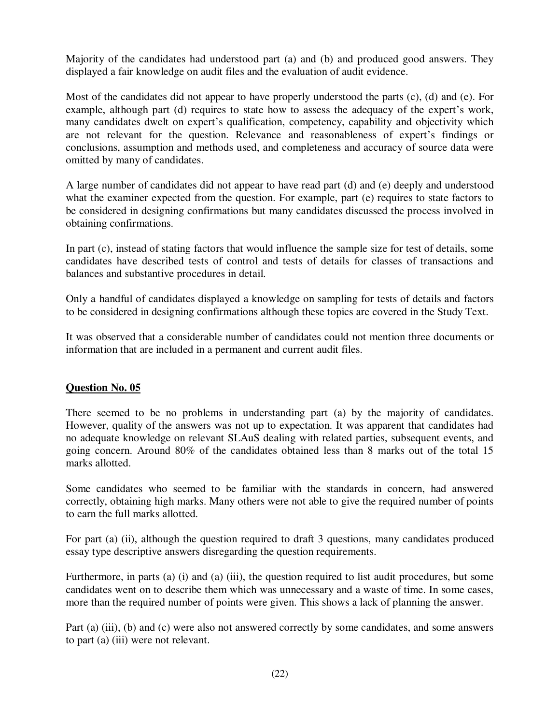Majority of the candidates had understood part (a) and (b) and produced good answers. They displayed a fair knowledge on audit files and the evaluation of audit evidence.

Most of the candidates did not appear to have properly understood the parts (c), (d) and (e). For example, although part (d) requires to state how to assess the adequacy of the expert's work, many candidates dwelt on expert's qualification, competency, capability and objectivity which are not relevant for the question. Relevance and reasonableness of expert's findings or conclusions, assumption and methods used, and completeness and accuracy of source data were omitted by many of candidates.

A large number of candidates did not appear to have read part (d) and (e) deeply and understood what the examiner expected from the question. For example, part (e) requires to state factors to be considered in designing confirmations but many candidates discussed the process involved in obtaining confirmations.

In part (c), instead of stating factors that would influence the sample size for test of details, some candidates have described tests of control and tests of details for classes of transactions and balances and substantive procedures in detail.

Only a handful of candidates displayed a knowledge on sampling for tests of details and factors to be considered in designing confirmations although these topics are covered in the Study Text.

It was observed that a considerable number of candidates could not mention three documents or information that are included in a permanent and current audit files.

# **Question No. 05**

There seemed to be no problems in understanding part (a) by the majority of candidates. However, quality of the answers was not up to expectation. It was apparent that candidates had no adequate knowledge on relevant SLAuS dealing with related parties, subsequent events, and going concern. Around 80% of the candidates obtained less than 8 marks out of the total 15 marks allotted.

Some candidates who seemed to be familiar with the standards in concern, had answered correctly, obtaining high marks. Many others were not able to give the required number of points to earn the full marks allotted.

For part (a) (ii), although the question required to draft 3 questions, many candidates produced essay type descriptive answers disregarding the question requirements.

Furthermore, in parts (a) (i) and (a) (iii), the question required to list audit procedures, but some candidates went on to describe them which was unnecessary and a waste of time. In some cases, more than the required number of points were given. This shows a lack of planning the answer.

Part (a) (iii), (b) and (c) were also not answered correctly by some candidates, and some answers to part (a) (iii) were not relevant.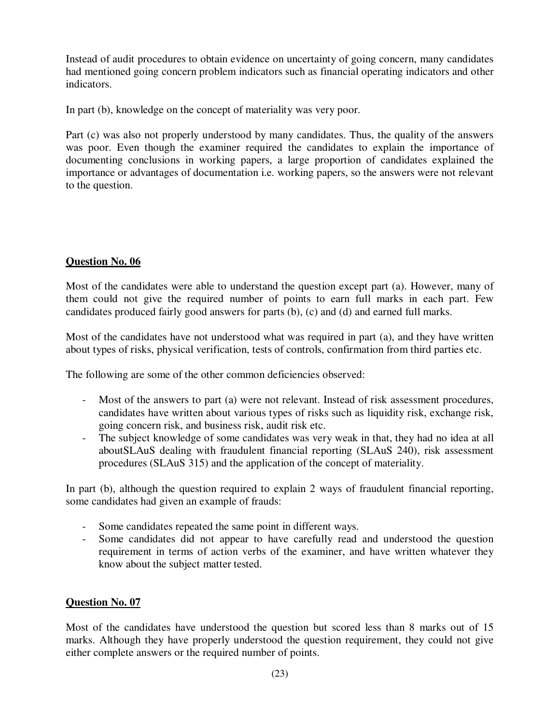Instead of audit procedures to obtain evidence on uncertainty of going concern, many candidates had mentioned going concern problem indicators such as financial operating indicators and other indicators.

In part (b), knowledge on the concept of materiality was very poor.

Part (c) was also not properly understood by many candidates. Thus, the quality of the answers was poor. Even though the examiner required the candidates to explain the importance of documenting conclusions in working papers, a large proportion of candidates explained the importance or advantages of documentation i.e. working papers, so the answers were not relevant to the question.

# **Question No. 06**

Most of the candidates were able to understand the question except part (a). However, many of them could not give the required number of points to earn full marks in each part. Few candidates produced fairly good answers for parts (b), (c) and (d) and earned full marks.

Most of the candidates have not understood what was required in part (a), and they have written about types of risks, physical verification, tests of controls, confirmation from third parties etc.

The following are some of the other common deficiencies observed:

- Most of the answers to part (a) were not relevant. Instead of risk assessment procedures, candidates have written about various types of risks such as liquidity risk, exchange risk, going concern risk, and business risk, audit risk etc.
- The subject knowledge of some candidates was very weak in that, they had no idea at all aboutSLAuS dealing with fraudulent financial reporting (SLAuS 240), risk assessment procedures (SLAuS 315) and the application of the concept of materiality.

In part (b), although the question required to explain 2 ways of fraudulent financial reporting, some candidates had given an example of frauds:

- Some candidates repeated the same point in different ways.
- Some candidates did not appear to have carefully read and understood the question requirement in terms of action verbs of the examiner, and have written whatever they know about the subject matter tested.

# **Question No. 07**

Most of the candidates have understood the question but scored less than 8 marks out of 15 marks. Although they have properly understood the question requirement, they could not give either complete answers or the required number of points.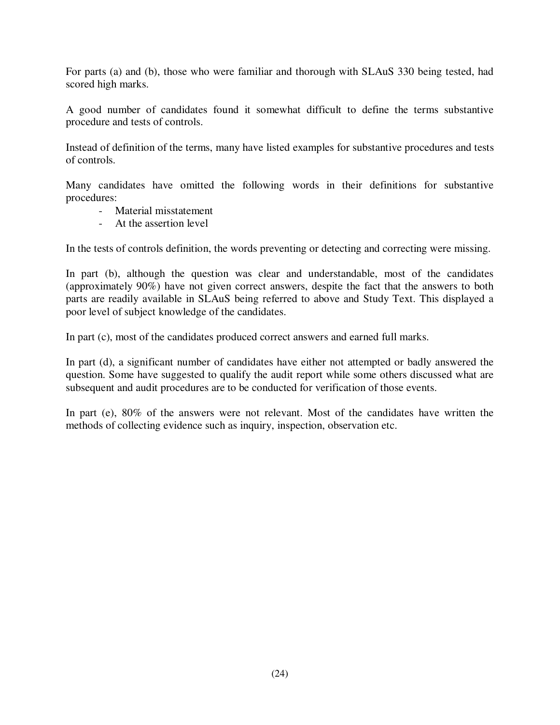For parts (a) and (b), those who were familiar and thorough with SLAuS 330 being tested, had scored high marks.

A good number of candidates found it somewhat difficult to define the terms substantive procedure and tests of controls.

Instead of definition of the terms, many have listed examples for substantive procedures and tests of controls.

Many candidates have omitted the following words in their definitions for substantive procedures:

- Material misstatement
- At the assertion level

In the tests of controls definition, the words preventing or detecting and correcting were missing.

In part (b), although the question was clear and understandable, most of the candidates (approximately 90%) have not given correct answers, despite the fact that the answers to both parts are readily available in SLAuS being referred to above and Study Text. This displayed a poor level of subject knowledge of the candidates.

In part (c), most of the candidates produced correct answers and earned full marks.

In part (d), a significant number of candidates have either not attempted or badly answered the question. Some have suggested to qualify the audit report while some others discussed what are subsequent and audit procedures are to be conducted for verification of those events.

In part (e), 80% of the answers were not relevant. Most of the candidates have written the methods of collecting evidence such as inquiry, inspection, observation etc.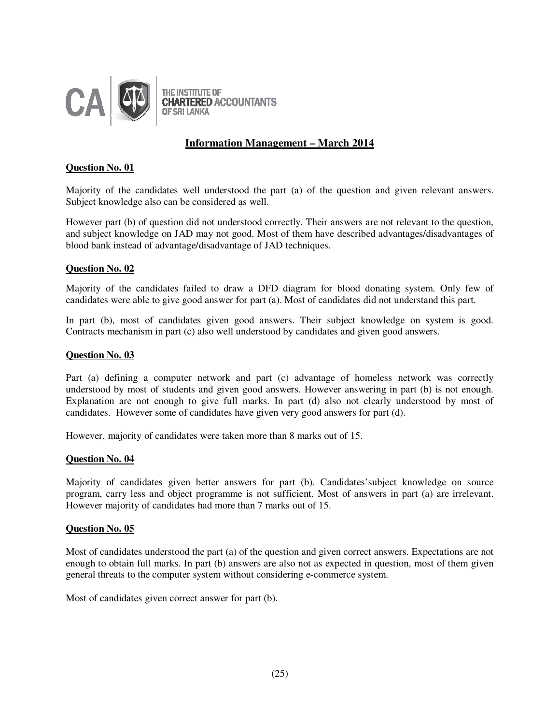

# **Information Management – March 2014**

# **Question No. 01**

Majority of the candidates well understood the part (a) of the question and given relevant answers. Subject knowledge also can be considered as well.

However part (b) of question did not understood correctly. Their answers are not relevant to the question, and subject knowledge on JAD may not good. Most of them have described advantages/disadvantages of blood bank instead of advantage/disadvantage of JAD techniques.

# **Question No. 02**

Majority of the candidates failed to draw a DFD diagram for blood donating system. Only few of candidates were able to give good answer for part (a). Most of candidates did not understand this part.

In part (b), most of candidates given good answers. Their subject knowledge on system is good. Contracts mechanism in part (c) also well understood by candidates and given good answers.

# **Question No. 03**

Part (a) defining a computer network and part (c) advantage of homeless network was correctly understood by most of students and given good answers. However answering in part (b) is not enough. Explanation are not enough to give full marks. In part (d) also not clearly understood by most of candidates. However some of candidates have given very good answers for part (d).

However, majority of candidates were taken more than 8 marks out of 15.

# **Question No. 04**

Majority of candidates given better answers for part (b). Candidates'subject knowledge on source program, carry less and object programme is not sufficient. Most of answers in part (a) are irrelevant. However majority of candidates had more than 7 marks out of 15.

# **Question No. 05**

Most of candidates understood the part (a) of the question and given correct answers. Expectations are not enough to obtain full marks. In part (b) answers are also not as expected in question, most of them given general threats to the computer system without considering e-commerce system.

Most of candidates given correct answer for part (b).